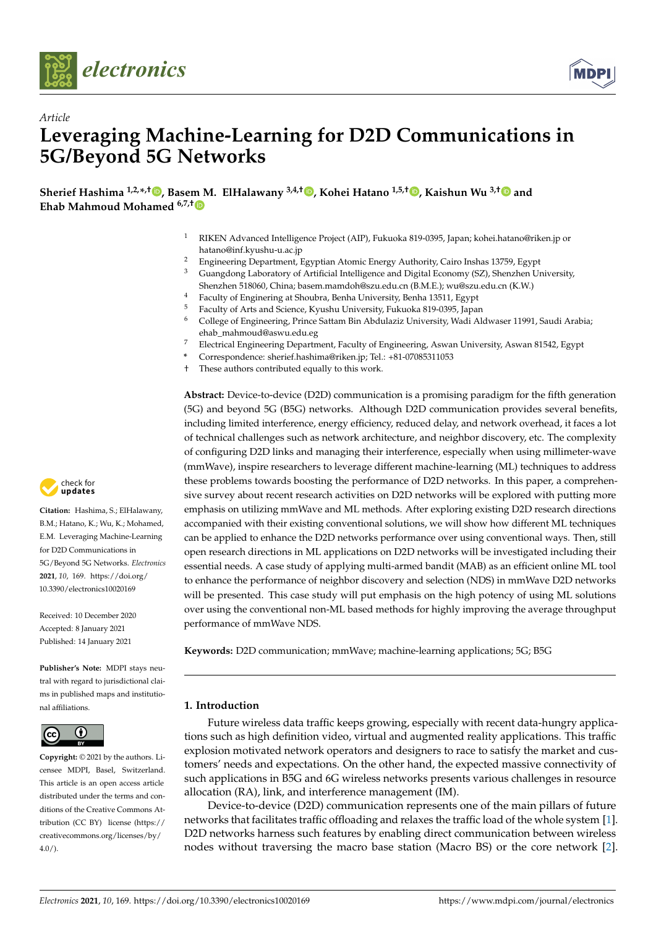

*Article*



# **Leveraging Machine-Learning for D2D Communications in 5G/Beyond 5G Networks**

**Sherief Hashima 1,2,\* ,† [,](https://orcid.org/0000-0002-4443-7066) Base[m M](https://orcid.org/0000-0001-5443-9711). ElHalawany 3,4,† [,](https://orcid.org/0000-0002-5900-6541) Kohei Hatano 1,5,† [,](https://orcid.org/0000-0002-1536-1269) Kaishun Wu 3,[†](https://orcid.org/0000-0003-2216-0737) and Ehab Mahmoud Mohamed 6,7,†**

- <sup>1</sup> RIKEN Advanced Intelligence Project (AIP), Fukuoka 819-0395, Japan; kohei.hatano@riken.jp or hatano@inf.kyushu-u.ac.jp
- <sup>2</sup> Engineering Department, Egyptian Atomic Energy Authority, Cairo Inshas 13759, Egypt $\frac{3}{2}$  Cuangdong Laboratory of Artificial Intelligence and Digital Economy (SZ) Sharabon Lh
- <sup>3</sup> Guangdong Laboratory of Artificial Intelligence and Digital Economy (SZ), Shenzhen University, Shenzhen 518060, China; basem.mamdoh@szu.edu.cn (B.M.E.); wu@szu.edu.cn (K.W.)
- <sup>4</sup> Faculty of Enginering at Shoubra, Benha University, Benha 13511, Egypt  $\frac{5}{2}$  Faculty of Arts and Science, Kurshy University, Fulgrales 810,0205, Isnas
- <sup>5</sup> Faculty of Arts and Science, Kyushu University, Fukuoka 819-0395, Japan
- <sup>6</sup> College of Engineering, Prince Sattam Bin Abdulaziz University, Wadi Aldwaser 11991, Saudi Arabia; ehab\_mahmoud@aswu.edu.eg
- <sup>7</sup> Electrical Engineering Department, Faculty of Engineering, Aswan University, Aswan 81542, Egypt
- **\*** Correspondence: sherief.hashima@riken.jp; Tel.: +81-07085311053
- † These authors contributed equally to this work.

**Abstract:** Device-to-device (D2D) communication is a promising paradigm for the fifth generation (5G) and beyond 5G (B5G) networks. Although D2D communication provides several benefits, including limited interference, energy efficiency, reduced delay, and network overhead, it faces a lot of technical challenges such as network architecture, and neighbor discovery, etc. The complexity of configuring D2D links and managing their interference, especially when using millimeter-wave (mmWave), inspire researchers to leverage different machine-learning (ML) techniques to address these problems towards boosting the performance of D2D networks. In this paper, a comprehensive survey about recent research activities on D2D networks will be explored with putting more emphasis on utilizing mmWave and ML methods. After exploring existing D2D research directions accompanied with their existing conventional solutions, we will show how different ML techniques can be applied to enhance the D2D networks performance over using conventional ways. Then, still open research directions in ML applications on D2D networks will be investigated including their essential needs. A case study of applying multi-armed bandit (MAB) as an efficient online ML tool to enhance the performance of neighbor discovery and selection (NDS) in mmWave D2D networks will be presented. This case study will put emphasis on the high potency of using ML solutions over using the conventional non-ML based methods for highly improving the average throughput performance of mmWave NDS.

**Keywords:** D2D communication; mmWave; machine-learning applications; 5G; B5G

# **1. Introduction**

Future wireless data traffic keeps growing, especially with recent data-hungry applications such as high definition video, virtual and augmented reality applications. This traffic explosion motivated network operators and designers to race to satisfy the market and customers' needs and expectations. On the other hand, the expected massive connectivity of such applications in B5G and 6G wireless networks presents various challenges in resource allocation (RA), link, and interference management (IM).

Device-to-device (D2D) communication represents one of the main pillars of future networks that facilitates traffic offloading and relaxes the traffic load of the whole system [\[1\]](#page-14-0). D2D networks harness such features by enabling direct communication between wireless nodes without traversing the macro base station (Macro BS) or the core network [\[2\]](#page-14-1).



**Citation:** Hashima, S.; ElHalawany, B.M.; Hatano, K.; Wu, K.; Mohamed, E.M. Leveraging Machine-Learning for D2D Communications in 5G/Beyond 5G Networks. *Electronics* **2021**, *10*, 169. [https://doi.org/](https://doi.org/10.3390/electronics10020169) [10.3390/electronics10020169](https://doi.org/10.3390/electronics10020169)

Received: 10 December 2020 Accepted: 8 January 2021 Published: 14 January 2021

**Publisher's Note:** MDPI stays neutral with regard to jurisdictional claims in published maps and institutional affiliations.



**Copyright:** © 2021 by the authors. Licensee MDPI, Basel, Switzerland. This article is an open access article distributed under the terms and conditions of the Creative Commons Attribution (CC BY) license [\(https://](https://creativecommons.org/licenses/by/4.0/) [creativecommons.org/licenses/by/](https://creativecommons.org/licenses/by/4.0/)  $4.0/$ ).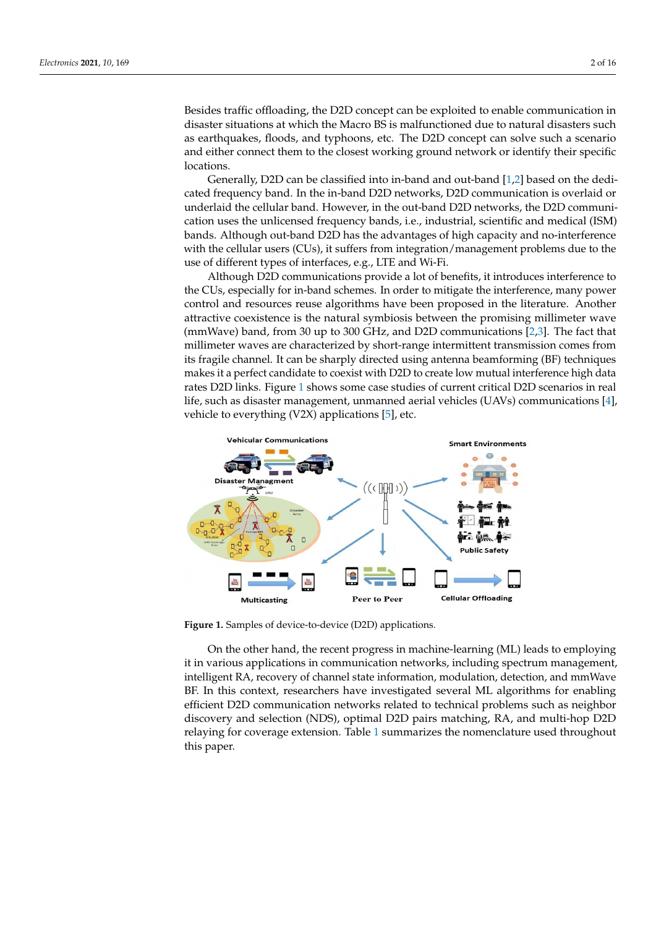Besides traffic offloading, the D2D concept can be exploited to enable communication in disaster situations at which the Macro BS is malfunctioned due to natural disasters such as earthquakes, floods, and typhoons, etc. The D2D concept can solve such a scenario and either connect them to the closest working ground network or identify their specific locations.

Generally, D2D can be classified into in-band and out-band [\[1,](#page-14-0)[2\]](#page-14-1) based on the dedicated frequency band. In the in-band D2D networks, D2D communication is overlaid or underlaid the cellular band. However, in the out-band D2D networks, the D2D communication uses the unlicensed frequency bands, i.e., industrial, scientific and medical (ISM) bands. Although out-band D2D has the advantages of high capacity and no-interference with the cellular users (CUs), it suffers from integration/management problems due to the use of different types of interfaces, e.g., LTE and Wi-Fi.

Although D2D communications provide a lot of benefits, it introduces interference to the CUs, especially for in-band schemes. In order to mitigate the interference, many power control and resources reuse algorithms have been proposed in the literature. Another attractive coexistence is the natural symbiosis between the promising millimeter wave (mmWave) band, from 30 up to 300 GHz, and D2D communications [\[2,](#page-14-1)[3\]](#page-14-2). The fact that millimeter waves are characterized by short-range intermittent transmission comes from its fragile channel. It can be sharply directed using antenna beamforming (BF) techniques makes it a perfect candidate to coexist with D2D to create low mutual interference high data rates D2D links. Figure [1](#page-1-0) shows some case studies of current critical D2D scenarios in real life, such as disaster management, unmanned aerial vehicles (UAVs) communications [\[4\]](#page-14-3), vehicle to everything (V2X) applications [\[5\]](#page-14-4), etc.

<span id="page-1-0"></span>

**Figure 1.** Samples of device-to-device (D2D) applications.

On the other hand, the recent progress in machine-learning (ML) leads to employing it in various applications in communication networks, including spectrum management, intelligent RA, recovery of channel state information, modulation, detection, and mmWave BF. In this context, researchers have investigated several ML algorithms for enabling efficient D2D communication networks related to technical problems such as neighbor discovery and selection (NDS), optimal D2D pairs matching, RA, and multi-hop D2D relaying for coverage extension. Table [1](#page-2-0) summarizes the nomenclature used throughout this paper.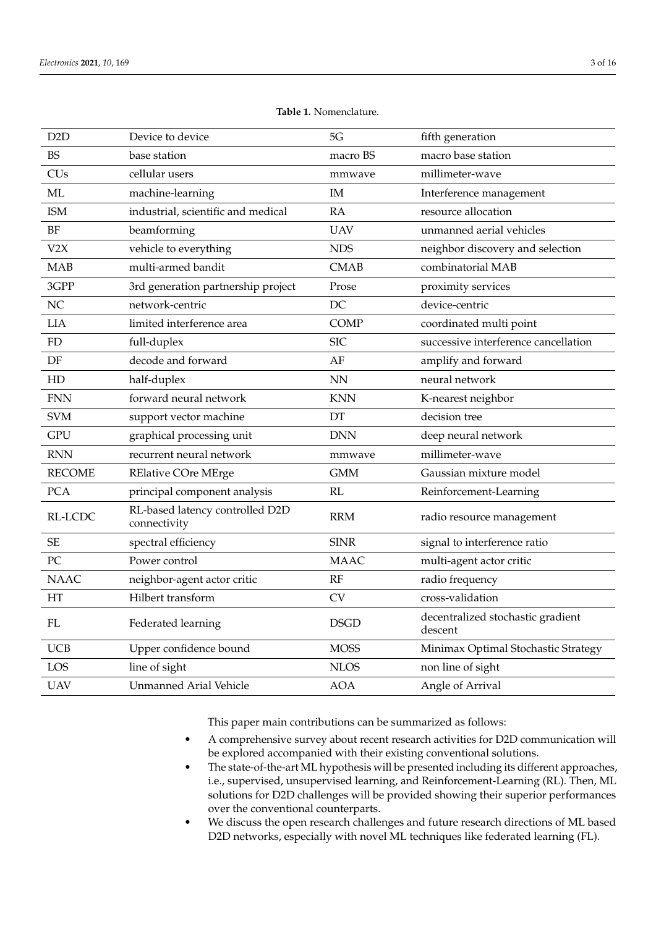<span id="page-2-0"></span>

| D <sub>2</sub> D | Device to device                                | 5G          | fifth generation                             |
|------------------|-------------------------------------------------|-------------|----------------------------------------------|
| <b>BS</b>        | base station                                    | macro BS    | macro base station                           |
| <b>CUs</b>       | cellular users                                  | mmwave      | millimeter-wave                              |
| ML               | machine-learning                                | IM          | Interference management                      |
| <b>ISM</b>       | industrial, scientific and medical              | RA          | resource allocation                          |
| <b>BF</b>        | beamforming                                     | <b>UAV</b>  | unmanned aerial vehicles                     |
| V2X              | vehicle to everything                           | <b>NDS</b>  | neighbor discovery and selection             |
| <b>MAB</b>       | multi-armed bandit                              | <b>CMAB</b> | combinatorial MAB                            |
| 3GPP             | 3rd generation partnership project              | Prose       | proximity services                           |
| NC               | network-centric                                 | DC          | device-centric                               |
| <b>LIA</b>       | limited interference area                       | <b>COMP</b> | coordinated multi point                      |
| <b>FD</b>        | full-duplex                                     | <b>SIC</b>  | successive interference cancellation         |
| $\rm DF$         | decode and forward                              | AF          | amplify and forward                          |
| HD               | half-duplex                                     | <b>NN</b>   | neural network                               |
| <b>FNN</b>       | forward neural network                          | <b>KNN</b>  | K-nearest neighbor                           |
| <b>SVM</b>       | support vector machine                          | DT          | decision tree                                |
| <b>GPU</b>       | graphical processing unit                       | <b>DNN</b>  | deep neural network                          |
| <b>RNN</b>       | recurrent neural network                        | mmwave      | millimeter-wave                              |
| <b>RECOME</b>    | <b>RElative COre MErge</b>                      | <b>GMM</b>  | Gaussian mixture model                       |
| <b>PCA</b>       | principal component analysis                    | RL          | Reinforcement-Learning                       |
| RL-LCDC          | RL-based latency controlled D2D<br>connectivity | <b>RRM</b>  | radio resource management                    |
| $\rm SE$         | spectral efficiency                             | <b>SINR</b> | signal to interference ratio                 |
| PC               | Power control                                   | <b>MAAC</b> | multi-agent actor critic                     |
| <b>NAAC</b>      | neighbor-agent actor critic                     | RF          | radio frequency                              |
| HT               | Hilbert transform                               | CV          | cross-validation                             |
| ${\rm FL}$       | Federated learning                              | <b>DSGD</b> | decentralized stochastic gradient<br>descent |
| <b>UCB</b>       | Upper confidence bound                          | <b>MOSS</b> | Minimax Optimal Stochastic Strategy          |
| LOS              | line of sight                                   | <b>NLOS</b> | non line of sight                            |
| <b>UAV</b>       | <b>Unmanned Arial Vehicle</b>                   | <b>AOA</b>  | Angle of Arrival                             |

**Table 1.** Nomenclature.

This paper main contributions can be summarized as follows:

- A comprehensive survey about recent research activities for D2D communication will be explored accompanied with their existing conventional solutions.
- The state-of-the-art ML hypothesis will be presented including its different approaches, i.e., supervised, unsupervised learning, and Reinforcement-Learning (RL). Then, ML solutions for D2D challenges will be provided showing their superior performances over the conventional counterparts.
- We discuss the open research challenges and future research directions of ML based D2D networks, especially with novel ML techniques like federated learning (FL).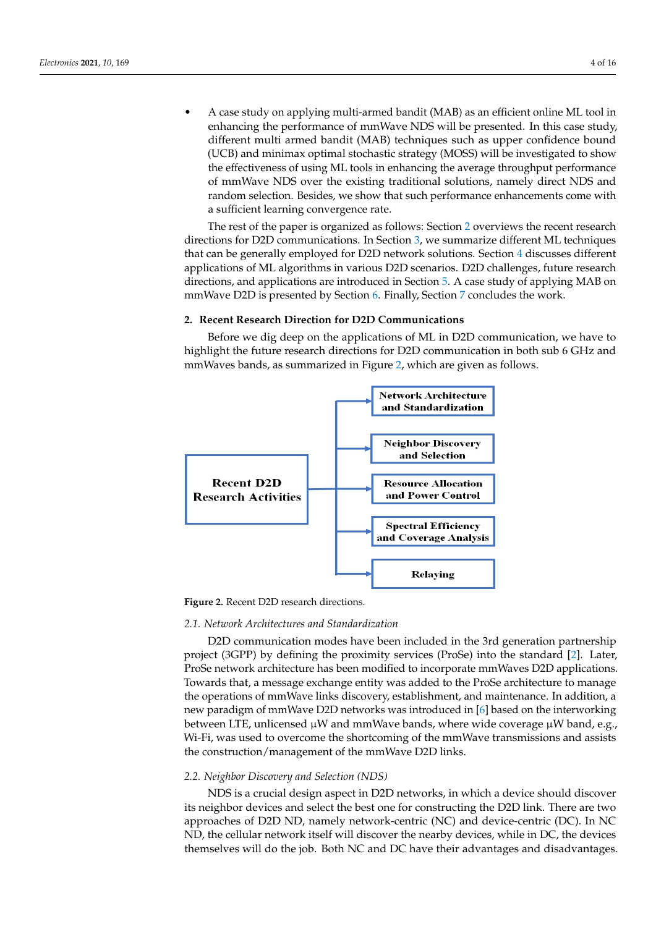• A case study on applying multi-armed bandit (MAB) as an efficient online ML tool in enhancing the performance of mmWave NDS will be presented. In this case study, different multi armed bandit (MAB) techniques such as upper confidence bound (UCB) and minimax optimal stochastic strategy (MOSS) will be investigated to show the effectiveness of using ML tools in enhancing the average throughput performance of mmWave NDS over the existing traditional solutions, namely direct NDS and random selection. Besides, we show that such performance enhancements come with a sufficient learning convergence rate.

The rest of the paper is organized as follows: Section [2](#page-3-0) overviews the recent research directions for D2D communications. In Section [3,](#page-5-0) we summarize different ML techniques that can be generally employed for D2D network solutions. Section [4](#page-6-0) discusses different applications of ML algorithms in various D2D scenarios. D2D challenges, future research directions, and applications are introduced in Section [5.](#page-10-0) A case study of applying MAB on mmWave D2D is presented by Section [6.](#page-11-0) Finally, Section [7](#page-13-0) concludes the work.

# <span id="page-3-0"></span>**2. Recent Research Direction for D2D Communications**

Before we dig deep on the applications of ML in D2D communication, we have to highlight the future research directions for D2D communication in both sub 6 GHz and mmWaves bands, as summarized in Figure [2,](#page-3-1) which are given as follows.

<span id="page-3-1"></span>

**Figure 2.** Recent D2D research directions.

## *2.1. Network Architectures and Standardization*

D2D communication modes have been included in the 3rd generation partnership project (3GPP) by defining the proximity services (ProSe) into the standard [\[2\]](#page-14-1). Later, ProSe network architecture has been modified to incorporate mmWaves D2D applications. Towards that, a message exchange entity was added to the ProSe architecture to manage the operations of mmWave links discovery, establishment, and maintenance. In addition, a new paradigm of mmWave D2D networks was introduced in [\[6\]](#page-14-5) based on the interworking between LTE, unlicensed µW and mmWave bands, where wide coverage µW band, e.g., Wi-Fi, was used to overcome the shortcoming of the mmWave transmissions and assists the construction/management of the mmWave D2D links.

## *2.2. Neighbor Discovery and Selection (NDS)*

NDS is a crucial design aspect in D2D networks, in which a device should discover its neighbor devices and select the best one for constructing the D2D link. There are two approaches of D2D ND, namely network-centric (NC) and device-centric (DC). In NC ND, the cellular network itself will discover the nearby devices, while in DC, the devices themselves will do the job. Both NC and DC have their advantages and disadvantages.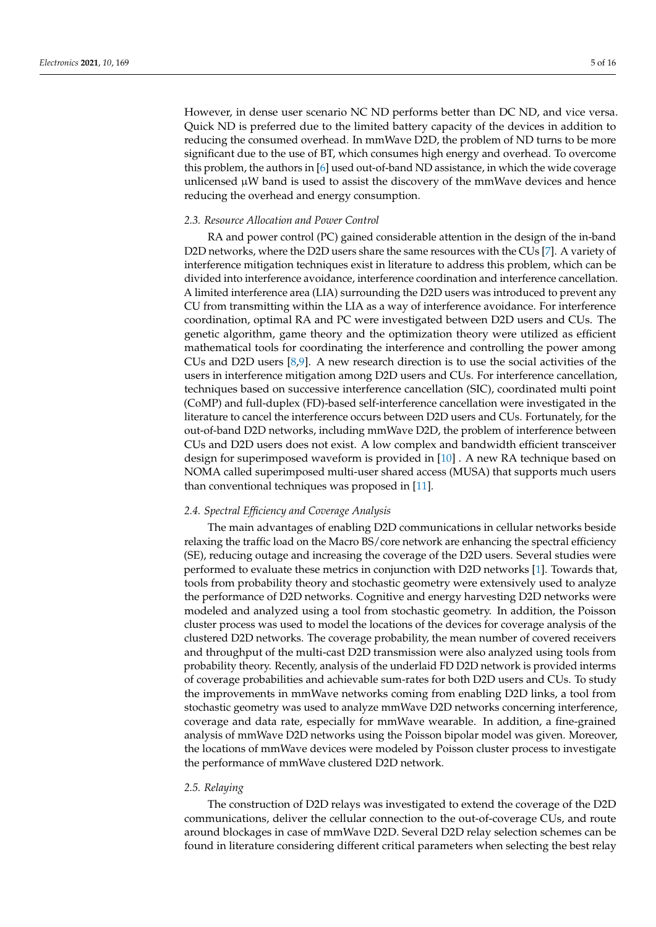However, in dense user scenario NC ND performs better than DC ND, and vice versa. Quick ND is preferred due to the limited battery capacity of the devices in addition to reducing the consumed overhead. In mmWave D2D, the problem of ND turns to be more significant due to the use of BT, which consumes high energy and overhead. To overcome this problem, the authors in [\[6\]](#page-14-5) used out-of-band ND assistance, in which the wide coverage unlicensed  $\mu$ W band is used to assist the discovery of the mmWave devices and hence reducing the overhead and energy consumption.

## *2.3. Resource Allocation and Power Control*

RA and power control (PC) gained considerable attention in the design of the in-band D2D networks, where the D2D users share the same resources with the CUs [\[7\]](#page-14-6). A variety of interference mitigation techniques exist in literature to address this problem, which can be divided into interference avoidance, interference coordination and interference cancellation. A limited interference area (LIA) surrounding the D2D users was introduced to prevent any CU from transmitting within the LIA as a way of interference avoidance. For interference coordination, optimal RA and PC were investigated between D2D users and CUs. The genetic algorithm, game theory and the optimization theory were utilized as efficient mathematical tools for coordinating the interference and controlling the power among CUs and D2D users [\[8](#page-14-7)[,9\]](#page-14-8). A new research direction is to use the social activities of the users in interference mitigation among D2D users and CUs. For interference cancellation, techniques based on successive interference cancellation (SIC), coordinated multi point (CoMP) and full-duplex (FD)-based self-interference cancellation were investigated in the literature to cancel the interference occurs between D2D users and CUs. Fortunately, for the out-of-band D2D networks, including mmWave D2D, the problem of interference between CUs and D2D users does not exist. A low complex and bandwidth efficient transceiver design for superimposed waveform is provided in [\[10\]](#page-14-9) . A new RA technique based on NOMA called superimposed multi-user shared access (MUSA) that supports much users than conventional techniques was proposed in [\[11\]](#page-14-10).

## *2.4. Spectral Efficiency and Coverage Analysis*

The main advantages of enabling D2D communications in cellular networks beside relaxing the traffic load on the Macro BS/core network are enhancing the spectral efficiency (SE), reducing outage and increasing the coverage of the D2D users. Several studies were performed to evaluate these metrics in conjunction with D2D networks [\[1\]](#page-14-0). Towards that, tools from probability theory and stochastic geometry were extensively used to analyze the performance of D2D networks. Cognitive and energy harvesting D2D networks were modeled and analyzed using a tool from stochastic geometry. In addition, the Poisson cluster process was used to model the locations of the devices for coverage analysis of the clustered D2D networks. The coverage probability, the mean number of covered receivers and throughput of the multi-cast D2D transmission were also analyzed using tools from probability theory. Recently, analysis of the underlaid FD D2D network is provided interms of coverage probabilities and achievable sum-rates for both D2D users and CUs. To study the improvements in mmWave networks coming from enabling D2D links, a tool from stochastic geometry was used to analyze mmWave D2D networks concerning interference, coverage and data rate, especially for mmWave wearable. In addition, a fine-grained analysis of mmWave D2D networks using the Poisson bipolar model was given. Moreover, the locations of mmWave devices were modeled by Poisson cluster process to investigate the performance of mmWave clustered D2D network.

## *2.5. Relaying*

The construction of D2D relays was investigated to extend the coverage of the D2D communications, deliver the cellular connection to the out-of-coverage CUs, and route around blockages in case of mmWave D2D. Several D2D relay selection schemes can be found in literature considering different critical parameters when selecting the best relay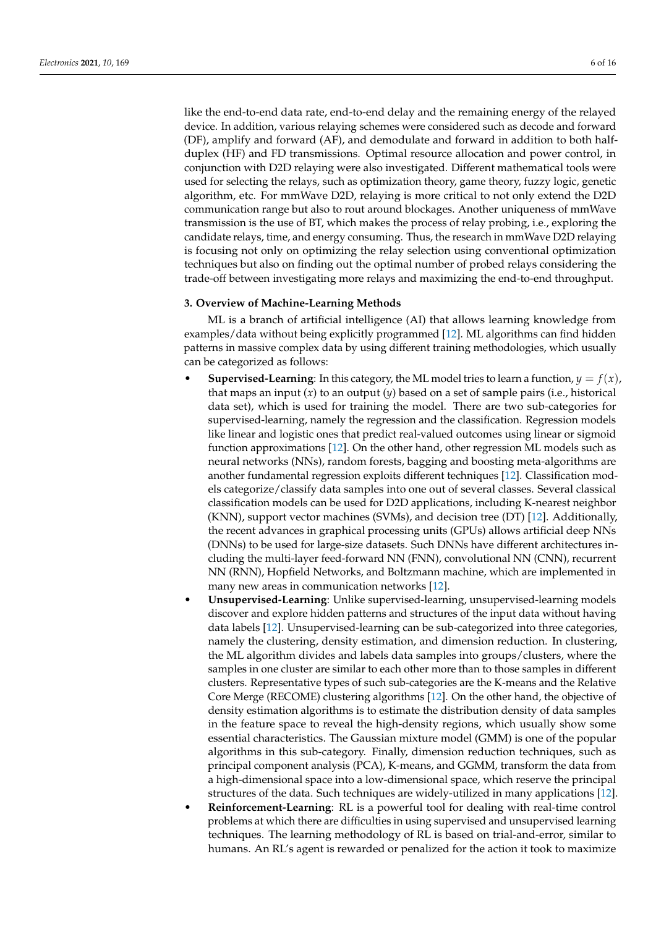like the end-to-end data rate, end-to-end delay and the remaining energy of the relayed device. In addition, various relaying schemes were considered such as decode and forward (DF), amplify and forward (AF), and demodulate and forward in addition to both halfduplex (HF) and FD transmissions. Optimal resource allocation and power control, in conjunction with D2D relaying were also investigated. Different mathematical tools were used for selecting the relays, such as optimization theory, game theory, fuzzy logic, genetic algorithm, etc. For mmWave D2D, relaying is more critical to not only extend the D2D communication range but also to rout around blockages. Another uniqueness of mmWave transmission is the use of BT, which makes the process of relay probing, i.e., exploring the candidate relays, time, and energy consuming. Thus, the research in mmWave D2D relaying is focusing not only on optimizing the relay selection using conventional optimization techniques but also on finding out the optimal number of probed relays considering the trade-off between investigating more relays and maximizing the end-to-end throughput.

## <span id="page-5-0"></span>**3. Overview of Machine-Learning Methods**

ML is a branch of artificial intelligence (AI) that allows learning knowledge from examples/data without being explicitly programmed [\[12\]](#page-14-11). ML algorithms can find hidden patterns in massive complex data by using different training methodologies, which usually can be categorized as follows:

- **Supervised-Learning**: In this category, the ML model tries to learn a function,  $y = f(x)$ , that maps an input (*x*) to an output (*y*) based on a set of sample pairs (i.e., historical data set), which is used for training the model. There are two sub-categories for supervised-learning, namely the regression and the classification. Regression models like linear and logistic ones that predict real-valued outcomes using linear or sigmoid function approximations [\[12\]](#page-14-11). On the other hand, other regression ML models such as neural networks (NNs), random forests, bagging and boosting meta-algorithms are another fundamental regression exploits different techniques [\[12\]](#page-14-11). Classification models categorize/classify data samples into one out of several classes. Several classical classification models can be used for D2D applications, including K-nearest neighbor (KNN), support vector machines (SVMs), and decision tree (DT) [\[12\]](#page-14-11). Additionally, the recent advances in graphical processing units (GPUs) allows artificial deep NNs (DNNs) to be used for large-size datasets. Such DNNs have different architectures including the multi-layer feed-forward NN (FNN), convolutional NN (CNN), recurrent NN (RNN), Hopfield Networks, and Boltzmann machine, which are implemented in many new areas in communication networks [\[12\]](#page-14-11).
- **Unsupervised-Learning**: Unlike supervised-learning, unsupervised-learning models discover and explore hidden patterns and structures of the input data without having data labels [\[12\]](#page-14-11). Unsupervised-learning can be sub-categorized into three categories, namely the clustering, density estimation, and dimension reduction. In clustering, the ML algorithm divides and labels data samples into groups/clusters, where the samples in one cluster are similar to each other more than to those samples in different clusters. Representative types of such sub-categories are the K-means and the Relative Core Merge (RECOME) clustering algorithms [\[12\]](#page-14-11). On the other hand, the objective of density estimation algorithms is to estimate the distribution density of data samples in the feature space to reveal the high-density regions, which usually show some essential characteristics. The Gaussian mixture model (GMM) is one of the popular algorithms in this sub-category. Finally, dimension reduction techniques, such as principal component analysis (PCA), K-means, and GGMM, transform the data from a high-dimensional space into a low-dimensional space, which reserve the principal structures of the data. Such techniques are widely-utilized in many applications [\[12\]](#page-14-11).
- **Reinforcement-Learning**: RL is a powerful tool for dealing with real-time control problems at which there are difficulties in using supervised and unsupervised learning techniques. The learning methodology of RL is based on trial-and-error, similar to humans. An RL's agent is rewarded or penalized for the action it took to maximize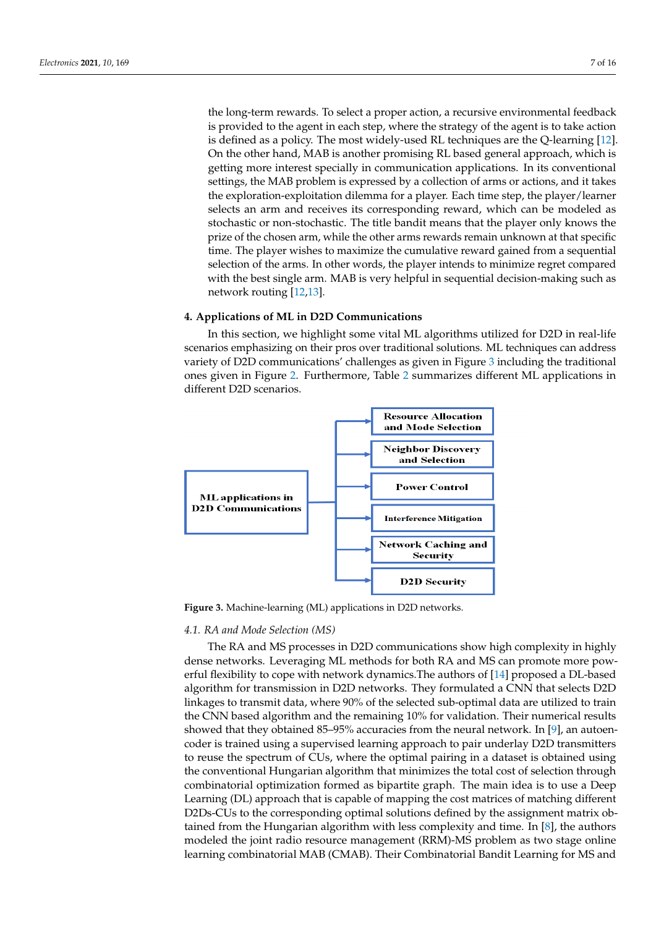the long-term rewards. To select a proper action, a recursive environmental feedback is provided to the agent in each step, where the strategy of the agent is to take action is defined as a policy. The most widely-used RL techniques are the Q-learning [\[12\]](#page-14-11). On the other hand, MAB is another promising RL based general approach, which is getting more interest specially in communication applications. In its conventional settings, the MAB problem is expressed by a collection of arms or actions, and it takes the exploration-exploitation dilemma for a player. Each time step, the player/learner selects an arm and receives its corresponding reward, which can be modeled as stochastic or non-stochastic. The title bandit means that the player only knows the prize of the chosen arm, while the other arms rewards remain unknown at that specific time. The player wishes to maximize the cumulative reward gained from a sequential selection of the arms. In other words, the player intends to minimize regret compared with the best single arm. MAB is very helpful in sequential decision-making such as network routing [\[12](#page-14-11)[,13\]](#page-14-12).

## <span id="page-6-0"></span>**4. Applications of ML in D2D Communications**

In this section, we highlight some vital ML algorithms utilized for D2D in real-life scenarios emphasizing on their pros over traditional solutions. ML techniques can address variety of D2D communications' challenges as given in Figure [3](#page-6-1) including the traditional ones given in Figure [2.](#page-3-1) Furthermore, Table [2](#page-9-0) summarizes different ML applications in different D2D scenarios.

<span id="page-6-1"></span>

**Figure 3.** Machine-learning (ML) applications in D2D networks.

## *4.1. RA and Mode Selection (MS)*

The RA and MS processes in D2D communications show high complexity in highly dense networks. Leveraging ML methods for both RA and MS can promote more powerful flexibility to cope with network dynamics.The authors of [\[14\]](#page-14-13) proposed a DL-based algorithm for transmission in D2D networks. They formulated a CNN that selects D2D linkages to transmit data, where 90% of the selected sub-optimal data are utilized to train the CNN based algorithm and the remaining 10% for validation. Their numerical results showed that they obtained 85–95% accuracies from the neural network. In [\[9\]](#page-14-8), an autoencoder is trained using a supervised learning approach to pair underlay D2D transmitters to reuse the spectrum of CUs, where the optimal pairing in a dataset is obtained using the conventional Hungarian algorithm that minimizes the total cost of selection through combinatorial optimization formed as bipartite graph. The main idea is to use a Deep Learning (DL) approach that is capable of mapping the cost matrices of matching different D2Ds-CUs to the corresponding optimal solutions defined by the assignment matrix obtained from the Hungarian algorithm with less complexity and time. In [\[8\]](#page-14-7), the authors modeled the joint radio resource management (RRM)-MS problem as two stage online learning combinatorial MAB (CMAB). Their Combinatorial Bandit Learning for MS and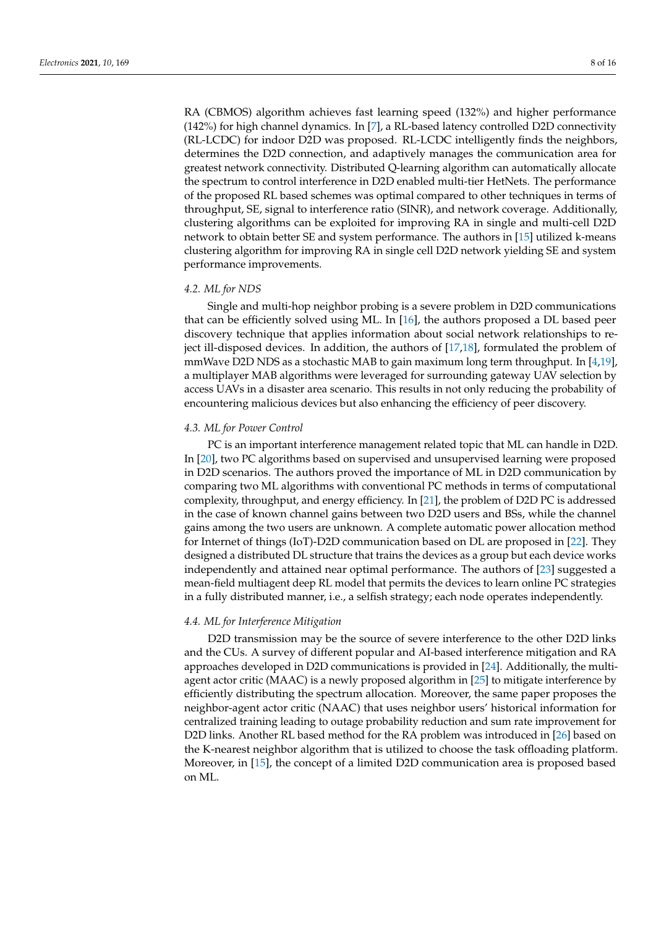RA (CBMOS) algorithm achieves fast learning speed (132%) and higher performance (142%) for high channel dynamics. In [\[7\]](#page-14-6), a RL-based latency controlled D2D connectivity (RL-LCDC) for indoor D2D was proposed. RL-LCDC intelligently finds the neighbors, determines the D2D connection, and adaptively manages the communication area for greatest network connectivity. Distributed Q-learning algorithm can automatically allocate the spectrum to control interference in D2D enabled multi-tier HetNets. The performance of the proposed RL based schemes was optimal compared to other techniques in terms of throughput, SE, signal to interference ratio (SINR), and network coverage. Additionally, clustering algorithms can be exploited for improving RA in single and multi-cell D2D network to obtain better SE and system performance. The authors in [\[15\]](#page-14-14) utilized k-means clustering algorithm for improving RA in single cell D2D network yielding SE and system performance improvements.

## *4.2. ML for NDS*

Single and multi-hop neighbor probing is a severe problem in D2D communications that can be efficiently solved using ML. In  $[16]$ , the authors proposed a DL based peer discovery technique that applies information about social network relationships to reject ill-disposed devices. In addition, the authors of [\[17](#page-14-16)[,18\]](#page-14-17), formulated the problem of mmWave D2D NDS as a stochastic MAB to gain maximum long term throughput. In [\[4](#page-14-3)[,19\]](#page-14-18), a multiplayer MAB algorithms were leveraged for surrounding gateway UAV selection by access UAVs in a disaster area scenario. This results in not only reducing the probability of encountering malicious devices but also enhancing the efficiency of peer discovery.

## *4.3. ML for Power Control*

PC is an important interference management related topic that ML can handle in D2D. In [\[20\]](#page-14-19), two PC algorithms based on supervised and unsupervised learning were proposed in D2D scenarios. The authors proved the importance of ML in D2D communication by comparing two ML algorithms with conventional PC methods in terms of computational complexity, throughput, and energy efficiency. In [\[21\]](#page-14-20), the problem of D2D PC is addressed in the case of known channel gains between two D2D users and BSs, while the channel gains among the two users are unknown. A complete automatic power allocation method for Internet of things (IoT)-D2D communication based on DL are proposed in [\[22\]](#page-15-0). They designed a distributed DL structure that trains the devices as a group but each device works independently and attained near optimal performance. The authors of [\[23\]](#page-15-1) suggested a mean-field multiagent deep RL model that permits the devices to learn online PC strategies in a fully distributed manner, i.e., a selfish strategy; each node operates independently.

# *4.4. ML for Interference Mitigation*

D2D transmission may be the source of severe interference to the other D2D links and the CUs. A survey of different popular and AI-based interference mitigation and RA approaches developed in D2D communications is provided in [\[24\]](#page-15-2). Additionally, the multiagent actor critic (MAAC) is a newly proposed algorithm in [\[25\]](#page-15-3) to mitigate interference by efficiently distributing the spectrum allocation. Moreover, the same paper proposes the neighbor-agent actor critic (NAAC) that uses neighbor users' historical information for centralized training leading to outage probability reduction and sum rate improvement for D2D links. Another RL based method for the RA problem was introduced in [\[26\]](#page-15-4) based on the K-nearest neighbor algorithm that is utilized to choose the task offloading platform. Moreover, in [\[15\]](#page-14-14), the concept of a limited D2D communication area is proposed based on ML.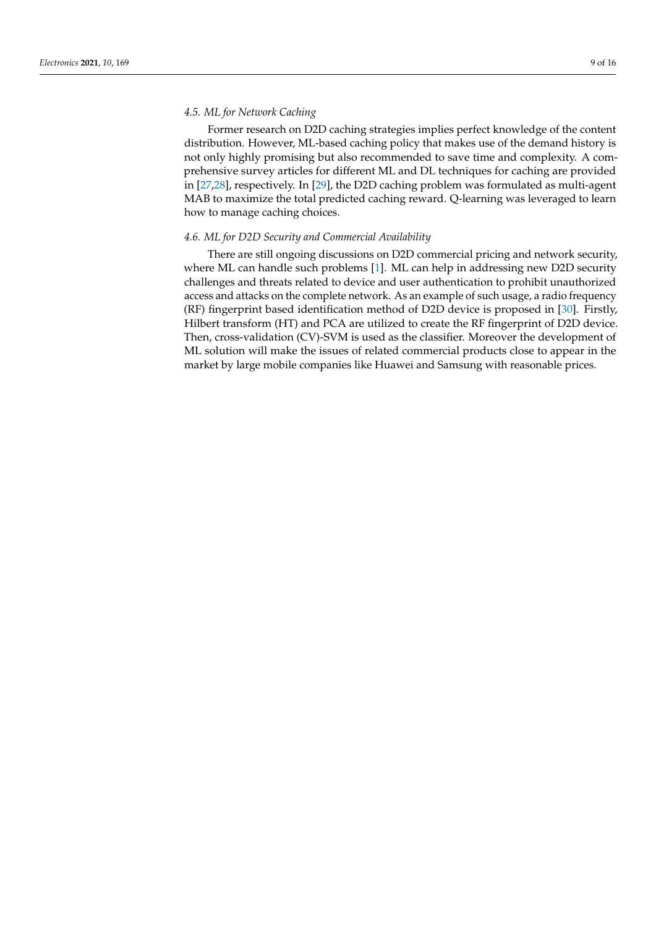# *4.5. ML for Network Caching*

Former research on D2D caching strategies implies perfect knowledge of the content distribution. However, ML-based caching policy that makes use of the demand history is not only highly promising but also recommended to save time and complexity. A comprehensive survey articles for different ML and DL techniques for caching are provided in [\[27](#page-15-5)[,28\]](#page-15-6), respectively. In [\[29\]](#page-15-7), the D2D caching problem was formulated as multi-agent MAB to maximize the total predicted caching reward. Q-learning was leveraged to learn how to manage caching choices.

# *4.6. ML for D2D Security and Commercial Availability*

There are still ongoing discussions on D2D commercial pricing and network security, where ML can handle such problems [\[1\]](#page-14-0). ML can help in addressing new D2D security challenges and threats related to device and user authentication to prohibit unauthorized access and attacks on the complete network. As an example of such usage, a radio frequency (RF) fingerprint based identification method of D2D device is proposed in [\[30\]](#page-15-8). Firstly, Hilbert transform (HT) and PCA are utilized to create the RF fingerprint of D2D device. Then, cross-validation (CV)-SVM is used as the classifier. Moreover the development of ML solution will make the issues of related commercial products close to appear in the market by large mobile companies like Huawei and Samsung with reasonable prices.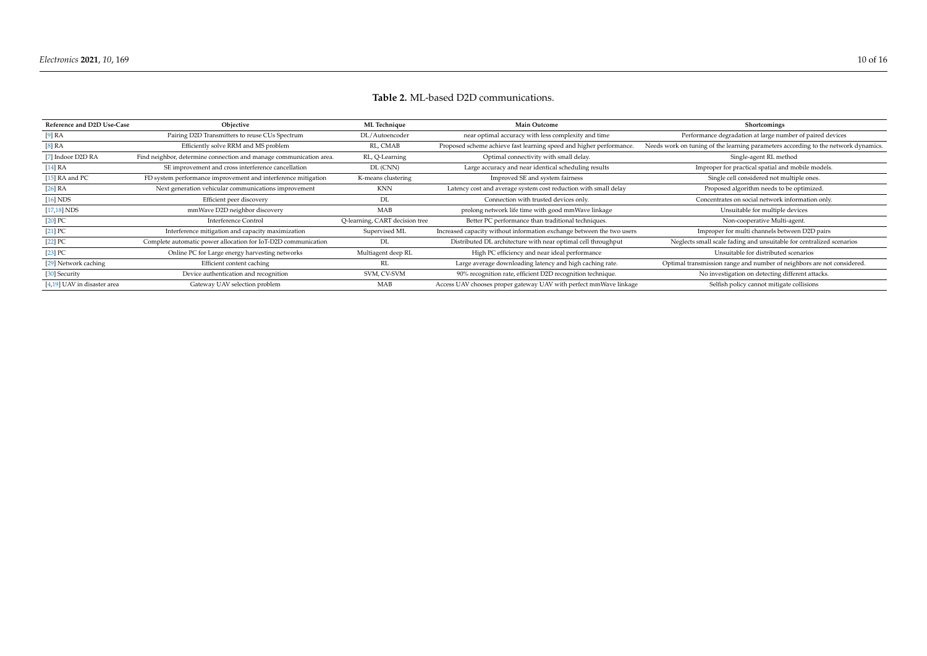<span id="page-9-0"></span>

| Reference and D2D Use-Case  | Objective                                                          | <b>ML</b> Technique            | <b>Main Outcome</b>                                                   | Shortcomings                                                                       |
|-----------------------------|--------------------------------------------------------------------|--------------------------------|-----------------------------------------------------------------------|------------------------------------------------------------------------------------|
| [9] RA                      | Pairing D2D Transmitters to reuse CUs Spectrum                     | DL/Autoencoder                 | near optimal accuracy with less complexity and time                   | Performance degradation at large number of paired devices                          |
| [8] RA                      | Efficiently solve RRM and MS problem                               | RL, CMAB                       | Proposed scheme achieve fast learning speed and higher performance.   | Needs work on tuning of the learning parameters according to the network dynamics. |
| [7] Indoor D2D RA           | Find neighbor, determine connection and manage communication area. | RL, Q-Learning                 | Optimal connectivity with small delay.                                | Single-agent RL method                                                             |
| [14]RA                      | SE improvement and cross interference cancellation                 | DL (CNN)                       | Large accuracy and near identical scheduling results                  | Improper for practical spatial and mobile models.                                  |
| [15] RA and PC              | FD system performance improvement and interference mitigation      | K-means clustering             | Improved SE and system fairness                                       | Single cell considered not multiple ones.                                          |
| [26] RA                     | Next generation vehicular communications improvement               | <b>KNN</b>                     | Latency cost and average system cost reduction with small delay       | Proposed algorithm needs to be optimized.                                          |
| [16] NDS                    | Efficient peer discovery                                           | DL                             | Connection with trusted devices only.                                 | Concentrates on social network information only.                                   |
| $[17,18]$ NDS               | mmWave D2D neighbor discovery                                      | MAB                            | prolong network life time with good mmWave linkage                    | Unsuitable for multiple devices                                                    |
| $[20]$ PC                   | Interference Control                                               | O-learning, CART decision tree | Better PC performance than traditional techniques.                    | Non-cooperative Multi-agent.                                                       |
| $[21]$ PC                   | Interference mitigation and capacity maximization                  | Supervised ML                  | Increased capacity without information exchange between the two users | Improper for multi channels between D2D pairs                                      |
| $[22]$ PC                   | Complete automatic power allocation for IoT-D2D communication      | DL                             | Distributed DL architecture with near optimal cell throughput         | Neglects small scale fading and unsuitable for centralized scenarios               |
| $[23]$ PC                   | Online PC for Large energy harvesting networks                     | Multiagent deep RL             | High PC efficiency and near ideal performance                         | Unsuitable for distributed scenarios                                               |
| [29] Network caching        | Efficient content caching                                          | RL                             | Large average downloading latency and high caching rate.              | Optimal transmission range and number of neighbors are not considered.             |
| [30] Security               | Device authentication and recognition                              | SVM. CV-SVM                    | 90% recognition rate, efficient D2D recognition technique.            | No investigation on detecting different attacks.                                   |
| [4,19] UAV in disaster area | Gateway UAV selection problem                                      | MAB                            | Access UAV chooses proper gateway UAV with perfect mmWave linkage     | Selfish policy cannot mitigate collisions                                          |

# **Table 2.** ML-based D2D communications.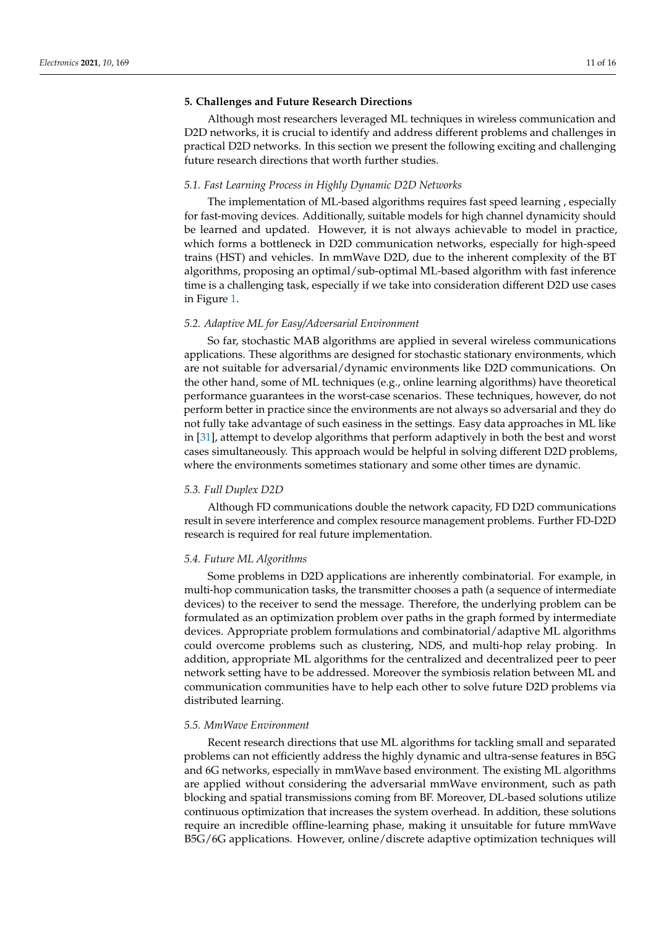## <span id="page-10-0"></span>**5. Challenges and Future Research Directions**

Although most researchers leveraged ML techniques in wireless communication and D2D networks, it is crucial to identify and address different problems and challenges in practical D2D networks. In this section we present the following exciting and challenging future research directions that worth further studies.

# *5.1. Fast Learning Process in Highly Dynamic D2D Networks*

The implementation of ML-based algorithms requires fast speed learning , especially for fast-moving devices. Additionally, suitable models for high channel dynamicity should be learned and updated. However, it is not always achievable to model in practice, which forms a bottleneck in D2D communication networks, especially for high-speed trains (HST) and vehicles. In mmWave D2D, due to the inherent complexity of the BT algorithms, proposing an optimal/sub-optimal ML-based algorithm with fast inference time is a challenging task, especially if we take into consideration different D2D use cases in Figure [1.](#page-1-0)

#### *5.2. Adaptive ML for Easy/Adversarial Environment*

So far, stochastic MAB algorithms are applied in several wireless communications applications. These algorithms are designed for stochastic stationary environments, which are not suitable for adversarial/dynamic environments like D2D communications. On the other hand, some of ML techniques (e.g., online learning algorithms) have theoretical performance guarantees in the worst-case scenarios. These techniques, however, do not perform better in practice since the environments are not always so adversarial and they do not fully take advantage of such easiness in the settings. Easy data approaches in ML like in [\[31\]](#page-15-14), attempt to develop algorithms that perform adaptively in both the best and worst cases simultaneously. This approach would be helpful in solving different D2D problems, where the environments sometimes stationary and some other times are dynamic.

## *5.3. Full Duplex D2D*

Although FD communications double the network capacity, FD D2D communications result in severe interference and complex resource management problems. Further FD-D2D research is required for real future implementation.

## *5.4. Future ML Algorithms*

Some problems in D2D applications are inherently combinatorial. For example, in multi-hop communication tasks, the transmitter chooses a path (a sequence of intermediate devices) to the receiver to send the message. Therefore, the underlying problem can be formulated as an optimization problem over paths in the graph formed by intermediate devices. Appropriate problem formulations and combinatorial/adaptive ML algorithms could overcome problems such as clustering, NDS, and multi-hop relay probing. In addition, appropriate ML algorithms for the centralized and decentralized peer to peer network setting have to be addressed. Moreover the symbiosis relation between ML and communication communities have to help each other to solve future D2D problems via distributed learning.

## *5.5. MmWave Environment*

Recent research directions that use ML algorithms for tackling small and separated problems can not efficiently address the highly dynamic and ultra-sense features in B5G and 6G networks, especially in mmWave based environment. The existing ML algorithms are applied without considering the adversarial mmWave environment, such as path blocking and spatial transmissions coming from BF. Moreover, DL-based solutions utilize continuous optimization that increases the system overhead. In addition, these solutions require an incredible offline-learning phase, making it unsuitable for future mmWave B5G/6G applications. However, online/discrete adaptive optimization techniques will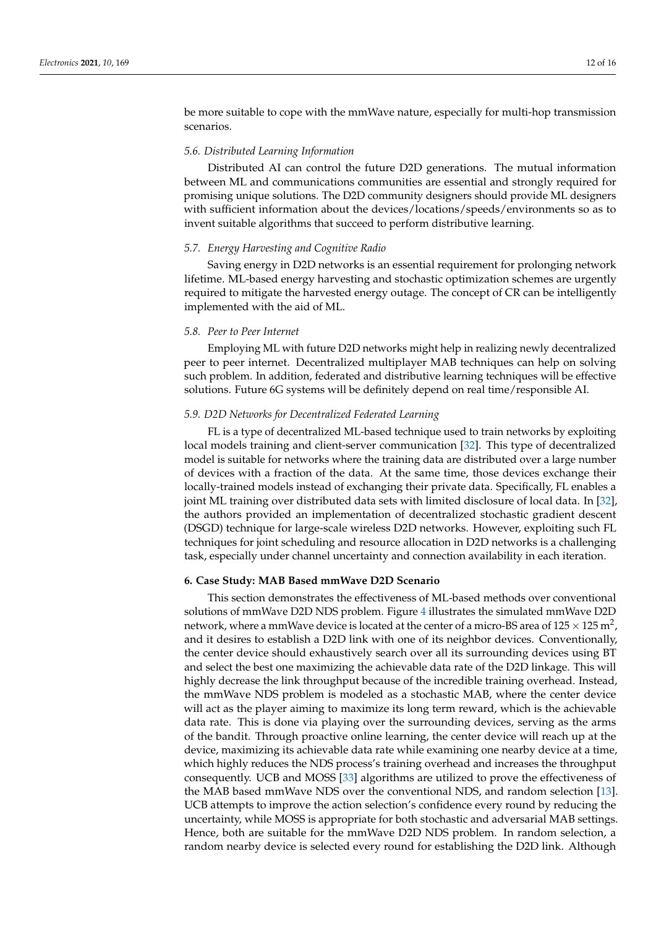be more suitable to cope with the mmWave nature, especially for multi-hop transmission scenarios.

## *5.6. Distributed Learning Information*

Distributed AI can control the future D2D generations. The mutual information between ML and communications communities are essential and strongly required for promising unique solutions. The D2D community designers should provide ML designers with sufficient information about the devices/locations/speeds/environments so as to invent suitable algorithms that succeed to perform distributive learning.

## *5.7. Energy Harvesting and Cognitive Radio*

Saving energy in D2D networks is an essential requirement for prolonging network lifetime. ML-based energy harvesting and stochastic optimization schemes are urgently required to mitigate the harvested energy outage. The concept of CR can be intelligently implemented with the aid of ML.

# *5.8. Peer to Peer Internet*

Employing ML with future D2D networks might help in realizing newly decentralized peer to peer internet. Decentralized multiplayer MAB techniques can help on solving such problem. In addition, federated and distributive learning techniques will be effective solutions. Future 6G systems will be definitely depend on real time/responsible AI.

## *5.9. D2D Networks for Decentralized Federated Learning*

FL is a type of decentralized ML-based technique used to train networks by exploiting local models training and client-server communication [\[32\]](#page-15-15). This type of decentralized model is suitable for networks where the training data are distributed over a large number of devices with a fraction of the data. At the same time, those devices exchange their locally-trained models instead of exchanging their private data. Specifically, FL enables a joint ML training over distributed data sets with limited disclosure of local data. In [\[32\]](#page-15-15), the authors provided an implementation of decentralized stochastic gradient descent (DSGD) technique for large-scale wireless D2D networks. However, exploiting such FL techniques for joint scheduling and resource allocation in D2D networks is a challenging task, especially under channel uncertainty and connection availability in each iteration.

#### <span id="page-11-0"></span>**6. Case Study: MAB Based mmWave D2D Scenario**

This section demonstrates the effectiveness of ML-based methods over conventional solutions of mmWave D2D NDS problem. Figure [4](#page-12-0) illustrates the simulated mmWave D2D network, where a mmWave device is located at the center of a micro-BS area of 125  $\times$  125 m<sup>2</sup>, and it desires to establish a D2D link with one of its neighbor devices. Conventionally, the center device should exhaustively search over all its surrounding devices using BT and select the best one maximizing the achievable data rate of the D2D linkage. This will highly decrease the link throughput because of the incredible training overhead. Instead, the mmWave NDS problem is modeled as a stochastic MAB, where the center device will act as the player aiming to maximize its long term reward, which is the achievable data rate. This is done via playing over the surrounding devices, serving as the arms of the bandit. Through proactive online learning, the center device will reach up at the device, maximizing its achievable data rate while examining one nearby device at a time, which highly reduces the NDS process's training overhead and increases the throughput consequently. UCB and MOSS [\[33\]](#page-15-16) algorithms are utilized to prove the effectiveness of the MAB based mmWave NDS over the conventional NDS, and random selection [\[13\]](#page-14-12). UCB attempts to improve the action selection's confidence every round by reducing the uncertainty, while MOSS is appropriate for both stochastic and adversarial MAB settings. Hence, both are suitable for the mmWave D2D NDS problem. In random selection, a random nearby device is selected every round for establishing the D2D link. Although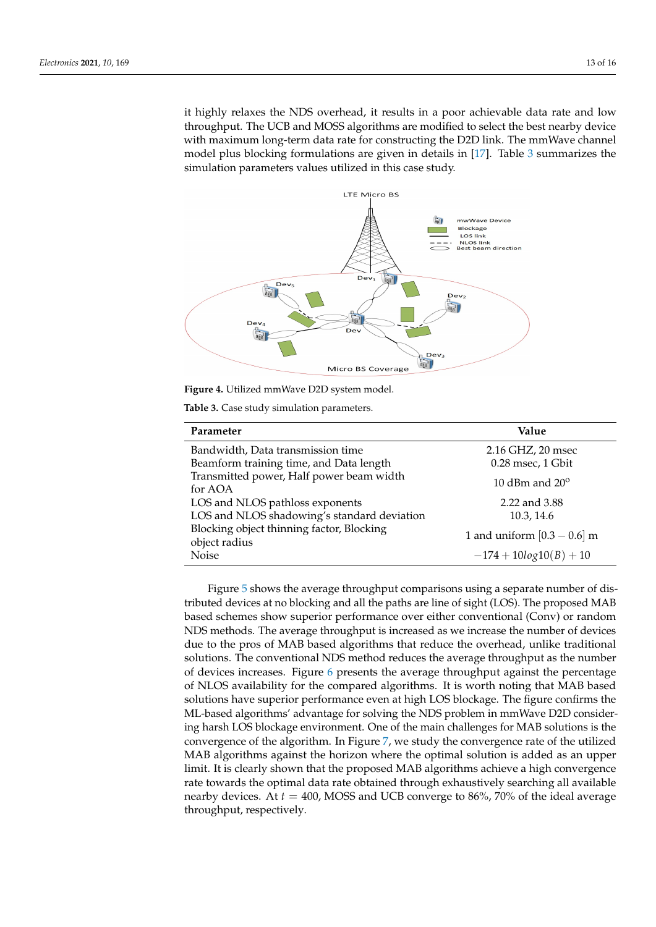it highly relaxes the NDS overhead, it results in a poor achievable data rate and low throughput. The UCB and MOSS algorithms are modified to select the best nearby device with maximum long-term data rate for constructing the D2D link. The mmWave channel model plus blocking formulations are given in details in [\[17\]](#page-14-16). Table [3](#page-12-1) summarizes the simulation parameters values utilized in this case study.

<span id="page-12-0"></span>

<span id="page-12-1"></span>**Figure 4.** Utilized mmWave D2D system model.

**Table 3.** Case study simulation parameters.

| Parameter                                                  | Value                         |  |
|------------------------------------------------------------|-------------------------------|--|
| Bandwidth, Data transmission time                          | 2.16 GHZ, 20 msec             |  |
| Beamform training time, and Data length                    | 0.28 msec, 1 Gbit             |  |
| Transmitted power, Half power beam width<br>for AOA        | 10 dBm and $20^{\circ}$       |  |
| LOS and NLOS pathloss exponents                            | 2.22 and 3.88                 |  |
| LOS and NLOS shadowing's standard deviation                | 10.3, 14.6                    |  |
| Blocking object thinning factor, Blocking<br>object radius | 1 and uniform $[0.3 - 0.6]$ m |  |
| <b>Noise</b>                                               | $-174 + 10log10(B) + 10$      |  |

Figure [5](#page-13-1) shows the average throughput comparisons using a separate number of distributed devices at no blocking and all the paths are line of sight (LOS). The proposed MAB based schemes show superior performance over either conventional (Conv) or random NDS methods. The average throughput is increased as we increase the number of devices due to the pros of MAB based algorithms that reduce the overhead, unlike traditional solutions. The conventional NDS method reduces the average throughput as the number of devices increases. Figure [6](#page-13-2) presents the average throughput against the percentage of NLOS availability for the compared algorithms. It is worth noting that MAB based solutions have superior performance even at high LOS blockage. The figure confirms the ML-based algorithms' advantage for solving the NDS problem in mmWave D2D considering harsh LOS blockage environment. One of the main challenges for MAB solutions is the convergence of the algorithm. In Figure [7,](#page-13-3) we study the convergence rate of the utilized MAB algorithms against the horizon where the optimal solution is added as an upper limit. It is clearly shown that the proposed MAB algorithms achieve a high convergence rate towards the optimal data rate obtained through exhaustively searching all available nearby devices. At  $t = 400$ , MOSS and UCB converge to 86%, 70% of the ideal average throughput, respectively.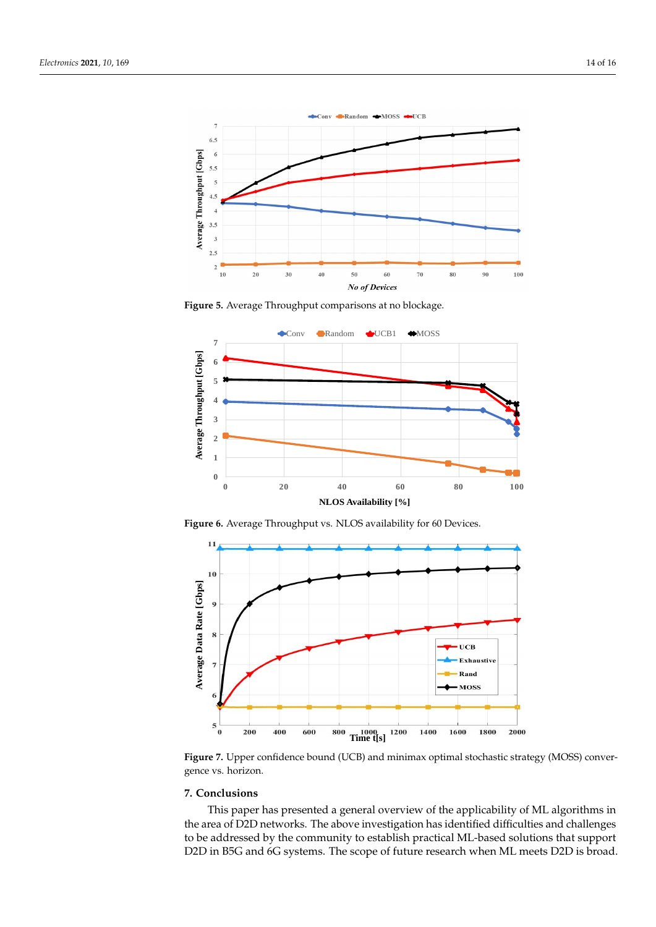<span id="page-13-1"></span>

**Figure 5.** Average Throughput comparisons at no blockage.

<span id="page-13-2"></span>

**Figure 6.** Average Throughput vs. NLOS availability for 60 Devices.

<span id="page-13-3"></span>

**Figure 7.** Upper confidence bound (UCB) and minimax optimal stochastic strategy (MOSS) convergence vs. horizon.

## <span id="page-13-0"></span>**7. Conclusions**

This paper has presented a general overview of the applicability of ML algorithms in the area of D2D networks. The above investigation has identified difficulties and challenges to be addressed by the community to establish practical ML-based solutions that support D2D in B5G and 6G systems. The scope of future research when ML meets D2D is broad.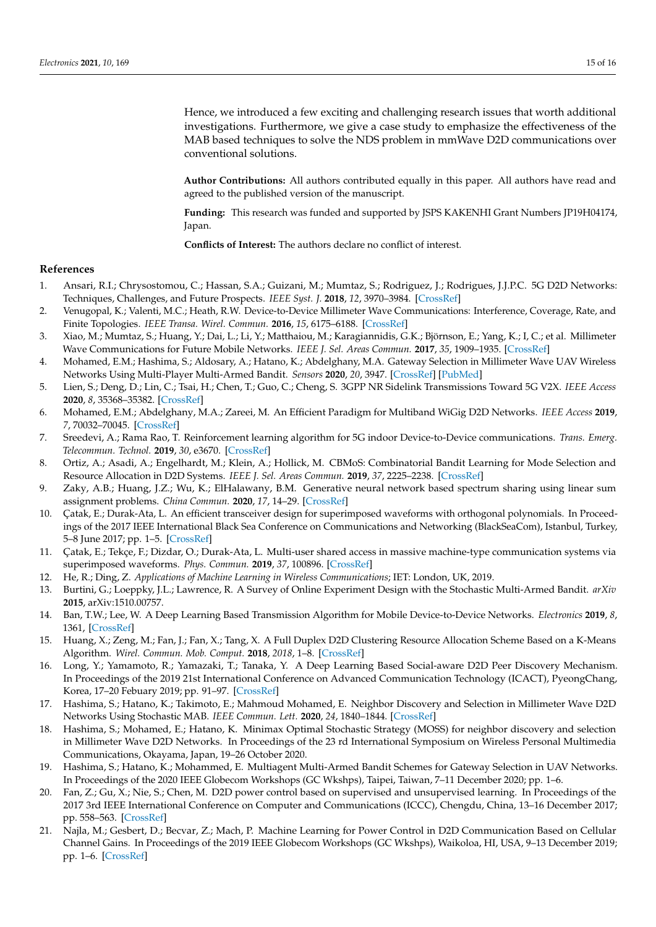<span id="page-14-31"></span>Hence, we introduced a few exciting and challenging research issues that worth additional investigations. Furthermore, we give a case study to emphasize the effectiveness of the MAB based techniques to solve the NDS problem in mmWave D2D communications over conventional solutions.

**Author Contributions:** All authors contributed equally in this paper. All authors have read and agreed to the published version of the manuscript.

**Funding:** This research was funded and supported by JSPS KAKENHI Grant Numbers JP19H04174, Japan.

**Conflicts of Interest:** The authors declare no conflict of interest.

## <span id="page-14-23"></span><span id="page-14-22"></span><span id="page-14-21"></span>**References**

- <span id="page-14-0"></span>1. Ansari, R.I.; Chrysostomou, C.; Hassan, S.A.; Guizani, M.; Mumtaz, S.; Rodriguez, J.; Rodrigues, J.J.P.C. 5G D2D Networks: Techniques, Challenges, and Future Prospects. *IEEE Syst. J.* **2018**, *12*, 3970–3984. [\[CrossRef\]](http://doi.org/10.1109/JSYST.2017.2773633)
- <span id="page-14-1"></span>2. Venugopal, K.; Valenti, M.C.; Heath, R.W. Device-to-Device Millimeter Wave Communications: Interference, Coverage, Rate, and Finite Topologies. *IEEE Transa. Wirel. Commun.* **2016**, *15*, 6175–6188. [\[CrossRef\]](http://dx.doi.org/10.1109/TWC.2016.2580510)
- <span id="page-14-24"></span><span id="page-14-2"></span>3. Xiao, M.; Mumtaz, S.; Huang, Y.; Dai, L.; Li, Y.; Matthaiou, M.; Karagiannidis, G.K.; Björnson, E.; Yang, K.; I, C.; et al. Millimeter Wave Communications for Future Mobile Networks. *IEEE J. Sel. Areas Commun.* **2017**, *35*, 1909–1935. [\[CrossRef\]](http://dx.doi.org/10.1109/JSAC.2017.2719924)
- <span id="page-14-25"></span><span id="page-14-3"></span>4. Mohamed, E.M.; Hashima, S.; Aldosary, A.; Hatano, K.; Abdelghany, M.A. Gateway Selection in Millimeter Wave UAV Wireless Networks Using Multi-Player Multi-Armed Bandit. *Sensors* **2020**, *20*, 3947. [\[CrossRef\]](http://dx.doi.org/10.3390/s20143947) [\[PubMed\]](http://www.ncbi.nlm.nih.gov/pubmed/32708559)
- <span id="page-14-26"></span><span id="page-14-4"></span>5. Lien, S.; Deng, D.; Lin, C.; Tsai, H.; Chen, T.; Guo, C.; Cheng, S. 3GPP NR Sidelink Transmissions Toward 5G V2X. *IEEE Access* **2020**, *8*, 35368–35382. [\[CrossRef\]](http://dx.doi.org/10.1109/ACCESS.2020.2973706)
- <span id="page-14-5"></span>6. Mohamed, E.M.; Abdelghany, M.A.; Zareei, M. An Efficient Paradigm for Multiband WiGig D2D Networks. *IEEE Access* **2019**, *7*, 70032–70045. [\[CrossRef\]](http://dx.doi.org/10.1109/ACCESS.2019.2918583)
- <span id="page-14-27"></span><span id="page-14-6"></span>7. Sreedevi, A.; Rama Rao, T. Reinforcement learning algorithm for 5G indoor Device-to-Device communications. *Trans. Emerg. Telecommun. Technol.* **2019**, *30*, e3670. [\[CrossRef\]](http://dx.doi.org/10.1002/ett.3670)
- <span id="page-14-28"></span><span id="page-14-7"></span>8. Ortiz, A.; Asadi, A.; Engelhardt, M.; Klein, A.; Hollick, M. CBMoS: Combinatorial Bandit Learning for Mode Selection and Resource Allocation in D2D Systems. *IEEE J. Sel. Areas Commun.* **2019**, *37*, 2225–2238. [\[CrossRef\]](http://dx.doi.org/10.1109/JSAC.2019.2933764)
- <span id="page-14-32"></span><span id="page-14-8"></span>9. Zaky, A.B.; Huang, J.Z.; Wu, K.; ElHalawany, B.M. Generative neural network based spectrum sharing using linear sum assignment problems. *China Commun.* **2020**, *17*, 14–29. [\[CrossRef\]](http://dx.doi.org/10.23919/JCC.2020.02.002)
- <span id="page-14-29"></span><span id="page-14-9"></span>10. Çatak, E.; Durak-Ata, L. An efficient transceiver design for superimposed waveforms with orthogonal polynomials. In Proceedings of the 2017 IEEE International Black Sea Conference on Communications and Networking (BlackSeaCom), Istanbul, Turkey, 5–8 June 2017; pp. 1–5. [\[CrossRef\]](http://dx.doi.org/10.1109/BlackSeaCom.2017.8277657)
- <span id="page-14-30"></span><span id="page-14-10"></span>11. Çatak, E.; Tekçe, F.; Dizdar, O.; Durak-Ata, L. Multi-user shared access in massive machine-type communication systems via superimposed waveforms. *Phys. Commun.* **2019**, *37*, 100896. [\[CrossRef\]](http://dx.doi.org/10.1016/j.phycom.2019.100896)
- <span id="page-14-11"></span>12. He, R.; Ding, Z. *Applications of Machine Learning in Wireless Communications*; IET: London, UK, 2019.
- <span id="page-14-12"></span>13. Burtini, G.; Loeppky, J.L.; Lawrence, R. A Survey of Online Experiment Design with the Stochastic Multi-Armed Bandit. *arXiv* **2015**, arXiv:1510.00757.
- <span id="page-14-13"></span>14. Ban, T.W.; Lee, W. A Deep Learning Based Transmission Algorithm for Mobile Device-to-Device Networks. *Electronics* **2019**, *8*, 1361, [\[CrossRef\]](http://dx.doi.org/10.3390/electronics8111361)
- <span id="page-14-14"></span>15. Huang, X.; Zeng, M.; Fan, J.; Fan, X.; Tang, X. A Full Duplex D2D Clustering Resource Allocation Scheme Based on a K-Means Algorithm. *Wirel. Commun. Mob. Comput.* **2018**, *2018*, 1–8. [\[CrossRef\]](http://dx.doi.org/10.1155/2018/1843083)
- <span id="page-14-15"></span>16. Long, Y.; Yamamoto, R.; Yamazaki, T.; Tanaka, Y. A Deep Learning Based Social-aware D2D Peer Discovery Mechanism. In Proceedings of the 2019 21st International Conference on Advanced Communication Technology (ICACT), PyeongChang, Korea, 17–20 Febuary 2019; pp. 91–97. [\[CrossRef\]](http://dx.doi.org/10.23919/ICACT.2019.8701911)
- <span id="page-14-16"></span>17. Hashima, S.; Hatano, K.; Takimoto, E.; Mahmoud Mohamed, E. Neighbor Discovery and Selection in Millimeter Wave D2D Networks Using Stochastic MAB. *IEEE Commun. Lett.* **2020**, *24*, 1840–1844. [\[CrossRef\]](http://dx.doi.org/10.1109/LCOMM.2020.2991535)
- <span id="page-14-17"></span>18. Hashima, S.; Mohamed, E.; Hatano, K. Minimax Optimal Stochastic Strategy (MOSS) for neighbor discovery and selection in Millimeter Wave D2D Networks. In Proceedings of the 23 rd International Symposium on Wireless Personal Multimedia Communications, Okayama, Japan, 19–26 October 2020.
- <span id="page-14-18"></span>19. Hashima, S.; Hatano, K.; Mohammed, E. Multiagent Multi-Armed Bandit Schemes for Gateway Selection in UAV Networks. In Proceedings of the 2020 IEEE Globecom Workshops (GC Wkshps), Taipei, Taiwan, 7–11 December 2020; pp. 1–6.
- <span id="page-14-19"></span>20. Fan, Z.; Gu, X.; Nie, S.; Chen, M. D2D power control based on supervised and unsupervised learning. In Proceedings of the 2017 3rd IEEE International Conference on Computer and Communications (ICCC), Chengdu, China, 13–16 December 2017; pp. 558–563. [\[CrossRef\]](http://dx.doi.org/10.1109/CompComm.2017.8322607)
- <span id="page-14-20"></span>21. Najla, M.; Gesbert, D.; Becvar, Z.; Mach, P. Machine Learning for Power Control in D2D Communication Based on Cellular Channel Gains. In Proceedings of the 2019 IEEE Globecom Workshops (GC Wkshps), Waikoloa, HI, USA, 9–13 December 2019; pp. 1–6. [\[CrossRef\]](http://dx.doi.org/10.1109/GCWkshps45667.2019.9024549)